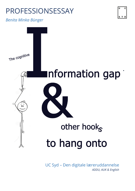# PROFESSIONSESSAY

*Benita Minka Bünger*





UC Syd – Den digitale læreruddannelse *ADDU, AUK & English*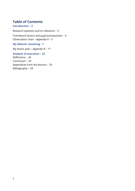## **Table of Contents**

#### **Introduction ~ 2**

Research question and its relevance ~ 3 Framework factors and pupil prerequisites  $\sim$  4 Observation chart – *Appendix A* ~ 5

## **My didactic reasoning - 7**

My lesson plan – *Appendix B* ~ 17

### **Analysis of execution** ~ **22**

Reflections ~ 26 Conclusion ~ 29 Appendices from the lessons ~ 29 Bibliography ~ 29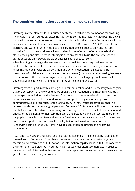## **The cognitive information gap and other hooks to hang onto**

Listening is a vital element for our human existence, in fact, it is the foundation for anything meaningful that surrounds us. Listening has turned stories into history, made passing downs into traditions and experiences into contextual culture thus the concept: "experience is in that sense cultural, and culture is accumulated experience"<sup>1</sup> (Brinkmann, 2017). We learn from watching and we listen when methods are explained. We experience opinions that are opposite from our own and we define ourselves in the reflections of others' words, their stories, their principles. Perhaps listening is such an essential to us, the accurate shape of gratitude would only prevail, did we at once lose our ability to listen. When learning a language, this element shows its qualities, being required in order to contextually communicate, as it is foundational in our social understanding and interactions, which makes it an invaluable part of a human's general education: "Language is the instrument of social interactions between human beings […] and rather than seeing language as a set of rules, the functional linguistic perspective sees the language system as a set of options available for construing different kinds of meaning" (Lund, 2019).

Listening owns its part in both learning and in communication and it is necessary to recognize that the perception of the words that are spoken, their intonation, and rhythm rely as much on the speaker as it does on the listener. The context of a commutative situation and the social roles taken are not to be undermined in comprehending and attaining strong communicative skills regardless of the language. With that, I must acknowledge that this research lands me in a pedagogical paradox (Oettingen, 2018), where I will have to coerce my pupils' focus and efforts towards listening and reacting for them to be able to implement and endeavor the element into their communicative understanding. In other words, in order for my pupils to be able to achieve and gain the freedom to communicate in their future, so they are set to act, participate, and have the ability to (co)exist in a democratic society (Undervisningsministeriet, 2021) I will have to coerce them to practice their listening competence.

As an effort to make this research and its attached lesson plan meaningful, by relating it to the real world (Oettingen, 2010), I have chosen to base it on a communicative language teaching (also referred to as CLT) notion, the information gap (Richards, 2006). The concept of the information gap plays out in our daily lives, as we most often communicate in order to receive or obtain information that we do not already possess, hence the name as we want the gap filled with the missing information.

<sup>&</sup>lt;sup>1</sup> Translated from Danish: "Erfaring er i den forstand kulturel, og kultur er akkumuleret erfaring" s.48 (Brinkmann, 2017).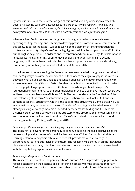By now it is time to fill the information gap of this introduction by revealing my research question, listening carefully, because it sounds like this*: How do you plan, complete, and evaluate an English lesson where the pupils divided into groups will practice listening through the activity 'Map Games', a content-based learning activity featuring the information gap?* 

When teaching English as a second language, it is taught based on the four elements; speaking, writing, reading, and listening to develop proficient communicative competence. In this essay, as earlier indicated, I will be focusing on the element of listening through the content-based activity 'Map Games' as the highlighted task in a lesson plan that scaffolds the pupils' English acquisition. In order to ensure constant and continuous urge for exploration in language learning and for my pupils to develop skills and understanding in a second language, I will create these scaffolded lessons that support their autonomy and curiosity, thus leaving me with a group of motivated pupils (Ushioda, 2012).

In the interest of understanding the factors that are associated with language acquisition, I can use Vygotsky's proximal development as a tool, where the cognitive gap is indicated as between what a pupil can do unaided and what a pupil can do jointly in coordination with someone more skilled (Gibbons, 2014). Another metaphorical theory I will look at, in order to assess a pupils' language acquisition is Gibbon's own; where you build on a pupil's foundational understanding, so the prior knowledge provides a cognitive hook on where you will hang more new language (Gibbons, 2014). The two theories are the foundation of the understanding of the term 'the information gap'. Furthermore, I will look at CLT and its content-based instruction term, which is the basis for the activity 'Map Games' that I will use as the main activity in the research lesson. The idea of attaching new knowledge to a pupil's already existing knowledge 'hook' is supported by the term scaffolding and the multiple theories hereof, which is why it will be the structure of the progression in my lesson planning and the foundation will be based on Hilbert Meyer's ten didactic characteristics of good teaching adapted by Oettingen (Oettingen, 2018).

*Relevance for the module processes in language acquisition and communicative skills:* This research is relevant for me personally to continue building the skill objective F2 as the research will practice the use of an activity that can be scaffolded for pupils with different learning potentials and gaining this experience will provide me with knowledge in differentiating learning strategies in the future. The research will also touch on the knowledge objective V4 as the activity is built on cognitive and motivational factors that are associated with the pupils' language acquisition as well as my role as a teacher.

#### *Relevance for the primary school's purpose:*

This research is relevant for the primary school's purpose **§ 1** as it provides my pupils with focused attention on the essential skill of listening, necessary for the preparation for any further education and ability to understand other countries and cultures different from their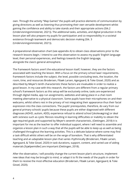own. Through the activity "Map Games" the pupils will practice elements of communication by giving directions as well as listening thus promoting their own versatile development whilst gaining the confidence and ability to take stands and their appropriate actions (Stk.2 (Undervisningsministeriet, 2021)). The additional tasks, activities, and digital production in the lesson plan will also prepare my pupils for participation and co-responsibility in a societal existence through teamwork and democratic decision making (Stk. 3 (Undervisningsministeriet, 2021)).

A preparational observation chart (see appendix A) to obtain class observations prior to the research lessons begin. I intend to use this observation to assess my pupils' English language level, their personal experiences, and feelings towards the English language, alongside the class's general atmosphere.

The framework factors aren't the educational lesson itself, however, they are the factors associated with teaching the lesson. With a focus on the primary school laws' requirements, framework factors include the subject, the level, possible concluding tests, the location, the room, time, and resources Brodersen, Fibæk Larsen, Agergaard, & Toke Gissel, 2020) and as described by Meyer's tenth characteristic these factors are invaluable in order to realize a good lesson. In my case with this research, the factors are different from a regular primary school's framework factors as this setup will be exclusively online, tasks are experienced through digital media, app run assignments, websites and taking place in a chat room meeting alternative to a physical classroom. Some pupils have their microphones on and their webcams, whilst others rest in the privacy of not integrating their appearance thus their facial expression into the class connections. The pupils' prerequisites, therefore, do vary from our general primary schools' pupils because these pupils are either diagnosed with different diagnoses (ADHD, autism, ADD), experience refusal to attend school [skolevægring] or deal with sickness such as cystic fibrosis resulting in learning difficulties or inability to obtain the age required goals and supported by Meyer's seventh characteristic, (Oettingen, 2018) it is important for me as the teacher to offer individual support, where I will need to assemble and organize a lesson plan in such a way that all the pupils will be able to keep up as well as being challenged throughout the learning activities. This is a delicate balance where some may find a task difficult whilst others will be on the verge of boredom. That is why differentiated teaching and an adaptable lesson plan that varies rhythmically (Brodersen, Fibæk Larsen, Agergaard, & Toke Gissel, 2020) in task durations, support, content, and varied use of aiding materials [hjælpemidler] are important (Oettingen, 2018).

After the observation, I will possibly change the current lesson plan's structure, implement new ideas that may be brought to mind, or adapt it to fit the needs of the pupils in order for them to receive the most effective education (Brodersen, Fibæk Larsen, Agergaard, & Toke Gissel, 2020).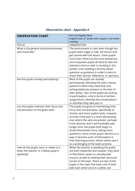# *Observation chart - Appendix A*

| <b>OBSERVATION CHART</b>                | Den Frie Digitale Skole:                               |
|-----------------------------------------|--------------------------------------------------------|
|                                         | English lesson $6th$ grade with 5 pupils, in an online |
|                                         | meeting.                                               |
| <b>FOCUS</b>                            | <b>OBSERVATION</b>                                     |
| What is the general social environment  | The environment is calm even though the                |
| and mood like?                          | pupils seem eager to talk, tell stories and            |
|                                         | get started with the lesson. Some pupils               |
|                                         | more than others as the more boisterous                |
|                                         | and outspoken pupils do tend to take the               |
|                                         | attention and run with it resulting in the             |
|                                         | quieter ones needing a directly asked                  |
|                                         | question as guidance in order to dare to               |
|                                         | share their stories, reflections, or opinions.         |
| Are the pupils actively participating?  | Most of the pupils are actively                        |
|                                         | participating, following the tasks, asking             |
|                                         | questions when they need help and                      |
|                                         | writing elaborate answers to the best of               |
|                                         | their ability. Two of the pupils are lacking           |
|                                         | in participation, only in terms of written             |
|                                         | assignments, whereas the conversations                 |
|                                         | or activities they take part in.                       |
| Can the pupils maintain their focus and | The pupils are great at maintaining their              |
| concentration on the given task?        | focus and concentration, specifically at               |
|                                         | shorter and more explicit tasks, however               |
|                                         | at times if the task is a more demanding               |
|                                         | one, where the asks are greater, perhaps               |
|                                         | more abstract and it will inevitably take              |
|                                         | longer time, the pupils both begin to                  |
|                                         | doubt themselves more, asking more                     |
|                                         | questions. Some of the pupils see this as a            |
|                                         | way to become surer of themselves in                   |
|                                         | their learning process, where others see it            |
|                                         | as a prolonging of the task's process.                 |
| How do the pupils react or relate to it | When the teacher is speaking the pupils                |
| when the teacher or a fellow pupil is   | are both respectful and relaxed. They tend             |
| speaking?                               | to feel there's space to casually joke                 |
|                                         | around, as well as relating their personal             |
|                                         | stories to the topic. There are two of the             |
|                                         | pupils in the class that have a bit of beef            |
|                                         | with each other once in a while, not                   |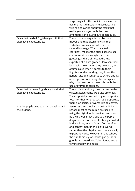|                                                                          | surprisingly it is the pupil in the class that<br>has the most difficult time participating,<br>writing and caring about the tasks that<br>easily gets annoyed with the most                                                                                                                                                                                                                                                                                                                                                    |
|--------------------------------------------------------------------------|---------------------------------------------------------------------------------------------------------------------------------------------------------------------------------------------------------------------------------------------------------------------------------------------------------------------------------------------------------------------------------------------------------------------------------------------------------------------------------------------------------------------------------|
|                                                                          | ambitious, candid, and outspoken pupil.                                                                                                                                                                                                                                                                                                                                                                                                                                                                                         |
| Does their verbal English align with their<br>class level expectancies?  | The pupils are very affected by their<br>moods and that often shows in their<br>verbal communication when it's in a<br>second language. When they feel<br>confident, most of the pupils dare to use<br>communication strategies, such as<br>guessing and are almost at the level<br>expected of a sixth grader. However, their<br>lacking is shown when they do not try and                                                                                                                                                     |
|                                                                          | at times also when it comes to their<br>linguistic understanding, they know the<br>general gist of a sentence structure and its<br>order, yet without being able to explain<br>why it is correct or incorrect through the<br>use of grammatical rules.                                                                                                                                                                                                                                                                          |
| Does their written English align with their<br>class level expectancies? | The pupils that do try their hardest in the<br>written assignments are quite up to par.<br>They especially excel when given a specific<br>focus for their writing, such as perspective,<br>theme, or particular words like adjectives.                                                                                                                                                                                                                                                                                          |
| Are the pupils used to using digital tools in<br>the lessons?            | Seeing as the school is an online digital<br>school, most of the pupils are used to<br>using the digital tools provided and used<br>by the school. In fact, due to the pupils'<br>diagnoses or motivation for being enrolled<br>in the school, most of them find comfort<br>and contentment in the digital world,<br>rather than the physical and more socially<br>expectant world. However, in this school,<br>the pupils mostly work with google docs,<br>google jam board, YouTube videos, and a<br>few inserted worksheets. |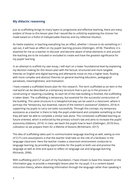## **My didactic reasoning**

Just as scaffolding brings its many layers to progressive and effective teaching, there are many evident of those to this lesson plan that I would like to unfold by explaining the choices I've made based on a fistful of indispensable theories and my reflective intuition.

As Hattie explains; in teaching everything has an effect, whether I choose to do something or I opt-out, it will have an effect on my pupils' learning process (Oettingen, 2018). Therefore, it is essential for me as a teacher to discover and become aware of what elements in and around the teaching are to be included or excluded to create and have the greatest significance for my pupils' learning.

In an attempt to scaffold my own essay, I will start on a lower foundational level by explaining my decision making for this lesson plan with the factual, structured and more tangible theories on English and digital learning and afterwards move on into a higher level, floating with more complex and abstract theories on general teaching education, pedagogical paradoxes, meaningfulness, and motivation.

I have created a scaffolded lesson plan for this research. The term scaffolded as an item in the real world can be described as a temporary structure that is put up in the process of constructing or repairing a building. As each bit of the new building is finished, the scaffolding is taken down. The scaffolding is temporary, but essential for the successful construction of the building. This same structure in a metaphorical way can be used in a classroom, where it portrays the "temporary, but essential, nature of the mentor's assistance" (Gibbons, 2014) in supporting my pupils to carry out tasks successfully. Through this concept, my temporary assistance as a teacher is there to help the pupil understand and complete something so that they will later be able to complete a similar task alone. This constitutes scaffolded learning as future-oriented, which is enforced by the primary school's law and aims to increase the pupils' autonomy (Gibbons, 2014). In class, we teach the pupils how to learn (Oettingen, 2010) thus, cultivation so we prepare them for a lifetime of lessons (Brinkmann, 2017).

The idea of scaffolding takes part in communicative language teaching as well, seeing as one of CLT's core assumptions is that the teacher shall take on the role of a facilitator in the language classroom. Here the teacher creates a classroom environment conducive to language learning, by providing opportunities for the pupils to both use and practice the language as well as time and space to reflect on language use and language learning (Richards, 2006).

With scaffolding and CLT as part of my foundation, I have chosen to base this research on the information gap, to provide a meaningful lesson plan for my pupil. It is a content-based instruction theory, where obtaining information through the language rather than speaking it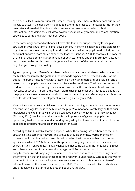as an end in itself is a more successful way of learning. Since more authentic communication is likely to occur in the classroom if pupils go beyond the practice of language forms for their own sake and use their linguistic and communicative resources in order to obtain information. In so doing, they will draw available vocabulary, grammar, and communication strategies to complete a task (Richards, 2006).

In the same neighborhood of theories, I have also found the support for my lesson plan structure in Vygotsky's term proximal development. The term is explained as the distance or cognitive gap between what a pupil can do unaided and what the pupil can do jointly and in coordination with a more skilled expert; the teacher (Gibbons, 2014). In that way, this concept of proximal development is a combination of both scaffolding and the information gap, as it both draws on the pupil's pre-knowledge as well as the aid of the teacher to close the cognitive gap through scaffolding.

Agreed upon by one of Meyer's ten characteristics, where the ninth characteristic states that the teacher must make the goals and the demands expected to be reached visible for the pupils. The pupils must be met with a lesson plan they can understand, see value in, and a lesson plan the pupils have the ability to achieve in the timeframe. Too low expectations will lead to boredom, where too high expectations can cause the pupils to feel exclusion and insecurity at school. Therefore, the lesson plan's challenges must be attached to abilities that the pupils have already mastered and still present something new. Meyer explains this as the zone for closest available development in learning (Oettingen, 2018).

Moving into another substantial version of this understanding, a metaphorical theory, where a second language lesson is to be built on the pupils' foundational vocabulary, so that prior knowledge and experience will provide a cognitive 'hook' on which to 'hang' new language (Gibbons, 2014). Hooked onto this theory is the importance of giving the pupils the opportunity to develop some understandings regarding the items or subject before they are expected to understand and use more explicit language.

According to Lund unstable learning happens when the learning isn't anchored to the pupils already existing semantic network. The language acquisition of new words, themes, or content should be obtained and established based on basic notions rather than themespecific ones (Lund, 2019). Because of this process in language acquisition, it is a universal characteristic in regard to learning any language that some parts of the language are in use and others are absent for the second language pupil. For instance: 'no school tomorrow hospital mom', in early language development, the nouns and verbs are what brings across the information that the speaker desire for the receiver to understand. Lund calls this type of communication pragmatic backing as the message comes across, but only as a piece of information rather than a conversation (Lund, 2019). The pronouns, adjectives, adverbials, and prepositions are later hooked onto the pupil's vocabulary.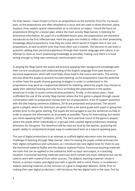For that reason, I have chosen to focus on prepositions as the semantic focus for my lesson plan, as the prepositions are often attached to a noun and are used to show direction, place, location, time, explain spatial relationships or to introduce an object. I found the focus on prepositions fitting for a lesson plan, where the main activity 'Map Games' is listening for directional information. As a part of a scaffolded lesson plan, the prepositions are therefore introduced as the first reflective task. Here the pupils are invited to reflect on their preexisting knowledge about prepositions, how they are used, which words in English that in fact are prepositions, as well as which ones that most often use in Danish. The decision to ask them a question, adding their personal experience through their Danish language and culture, is an attempt to claim as much preexisting knowledge as possible, making sure there is a hook strong enough to hang new contextual communication onto.

In playing the 'Map Game' the pupils will practice applying their background knowledge with their current vocabulary and understanding of the English language from past lessons or personal experiences, which will most likely show itself in the nouns and verbs. The activity will also allow the pupils to practice focused listening, as the prepositions have the potential to either have the pupils choose guessing strategies in order to understand or the prepositions may work as a supportive element for listening, where the pupils may choose to apply their selective hearing and only focus on finding the prepositions in the spoken sentences in order to avoid communicative problems. Finally, in this lesson plan, I have scaffolded the use of the activity 'Map Games' where the first game is played through casual conversation with no preparation except their list of prepositions. A list of support questions with the title helping sentences (Gibbons, 2014) are presented and practiced. The second game is played, where the directions are given from a ten point guide each pupil or group has written prior to the game starting. The pupils are encouraged to use the sentences as help in order to acquire the information as accurately as possible: "Sorry for interrupting, but would you mind repeating that?" (Gibbons, 2014). The third and final round of the game is played, where the pupils either individually or in groups have created digital productions showing directions for the game. The directions will be read out loud by the teacher, practicing the pupils' ability to comprehend simple, easy-to-understand texts at a natural speaking pace.

The use of digital productions is an attempt to scaffold digital education onto the existing challenge of listening through 'Map Games'. Here I'm having the pupils unfold and exercise their digital competence and cultivation, as I introduce two new digital tools for them to use; the functional material Padlet and the didactic material Pixton. Functional teaching materials are tools that can be applied to the substance, both as input and output, in a teaching situation. Functional teaching materials and tools don't contain any topic relevance but can be used to work with material from other sources. The didactic teaching material I chose is Pixton, a cartoon creator and digital tool with a specific skill in mind. Pixton is considered a didactic teaching material, as the inclusion of a goal is integrated (Watson, 2018). Prior to making their own digital production, I will introduce the two digital tools in the class, first by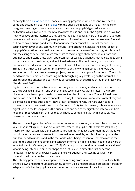showing them a **Pixton cartoon** I made containing prepositions in an adventurous school setup and second by creating a [Padlet](https://www.studietube.dk/video/7229683/958463a0ce81104dd27dcc843d91efea) with the pupils' definitions of a map. The choice to integrate these digital tools are to enact and practice the pupils' digital education and cultivation, which involves for them to know how to use and utilize the digital tools as well as how to behave on the internet as they use technology in general. Here the pupils are to learn how to act online without giving away personal information, to be taken advantage of as well as how to avoid bullying and steer clear of unnecessary conflict and in that manner use technology in favor of any community. I found it important to integrate the digital aspect of my pupils' education, because it is essential to recognize the role of technology at this time, in our coexisting society. This way we can relate to technology's challenges, do our part, and attempt to understand these given opportunities, as well as challenges technology, does bring to our society, our coexistence, and individual existence. The pupils must, through their primary school education, become prepared to use all kinds of methods and ways of working. This is vital as they will encounter multiple variations of working methods and tools both in and after school, necessary to create projects, productions, and plans for research. The pupils need to be able to master researching, both through digitally exploring on the internet and also through the physical and earthly way of researching, by searching through the real world (Bundsgaard, 2017).

Digital competence and cultivation are currently more necessary and needed than ever, due to the growing digitalization and ever-changing technology. As Meyer states in the fourth characteristic a lesson plan needs to show itself as clear in its content. The individual tasks and activities need to be understandable. This way the pupils will know what content they will be engaging in. If the pupils don't know or can't understand why they are given specific content, their motivation will be sparse (Oettingen, 2018). For this reason, I chose to integrate digital tools in the lesson plan as the pupils' urge and desire for digital competence can help keep their motivation high, even as they will need to complete a task with a possibly less interesting theme or content.

The act of listening can be defined as paying attention to a sound, whether it be your teacher's voice or your cat's purr. It is an active process, where the pupil is interpreting what's being heard. For that reason, it is significant that through the language acquisition the activities will introduce as natural and meaningful conversation as possible, as this is inevitably what the pupil will need to understand in the real world when being spoken to. That also means that prior to the pupils finding simple and concrete information in a text, they need to be aware of what to listen for (Olsen & Jacobsen, 2019). Visual support is described as a written version of what is being listened to or in the shape of a subtitle etc. in either the first or second language. As Jacobsen and Olsen state the text will support the listening as it will help maintain the listener in the correct context.

The listening process can be compared to the reading process, where the pupil will use both the top-down and bottom-up approaches. Bottom-up is understood as a processed version or adaptation of what the pupil hears in connection with a statement in relation to these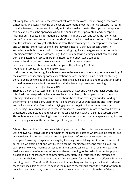following levels: sound units, the grammatical form of the words, the meaning of the words, syntax level, and literal meaning of the whole statement altogether. In this concept, it's found that the listener processes continuously whilst the speaker speaks. The top-down adaptation can be explained as the approach, where the pupil uses their perceptual and conceptual information. Perceptual information is that which is found a text and what the listener will derive from a text connected to the sounds. Conceptual information is the kind of information that the listener has brought with them in from their knowledge and perception of the world and which the listener will use to interpret what is heard (Olsen & Jacobsen, 2019). In accordance with this, there is a lot of value in using cognitive strategies in connection with listening activities in the classroom. Cognitive problem-solving strategies that can be used during the listening process in order to interpret and understand can be to;

- assess the situation and the environment in the listening (con)text.

- identify the relationship between the people in the listening (con)text.

- outline the subject of the listening (con)text.

In all three cases, these cognitive listening strategies are about gaining a pre-understanding of the (con)text and identifying some expectations before listening. This is in fact the starting point to being able to set up hypotheses and make a qualified guess, and thus applying some of the dominant strategies in connection with the listening process and listening comprehension (Olsen & Jacobsen, 2019).

There is a theory on successful listening strategies by Rost and the six strategies sound like this: Prediction - to predict what you may be about to hear; this happens prior to the actual listening. Deduction - to draw conclusions about the content, even if your understanding of the information is deficient. Monitoring – being aware of your own listening and its uncertain and lacking areas. Clarifying – ask clarifying questions to gain a better understanding. Responding – relevant response to what is presented. Evaluating – relate to how well what is presented is understood and to whether the task has been solved (Olsen & Jacobsen, 2019). Throughout my lesson planning I have made the attempt to include time, space, and guidance for every single one of these six strategies for my pupils to endeavor.

Gibbons has identified four contexts listening can occur in, the contexts are separated in oneway and two-way conversation and whether the context relates to what would be categorized as everyday talk or more academic and subject-based informational conversation. An example of two-way interpersonal everyday listening can be taking part in a conversation at a gathering. An example of one-way listening can be listening to someone telling a joke. An example of two-way information-based listening can be taking part in a job interview. And finally, an example of one-way information-based listening to the radio. In order for pupils to be able to gain the freedom to communicate accurately in all four contexts, they need to experience a balance of both one- and two-way listening for it to become an effective listening teaching session. Therefore, Gibbons states that teaching and learning activities should reflect these purposes. It is essential to expose the pupils to the various contexts needed for them to be able to tackle as many diverse communicative situations as possible with confidence.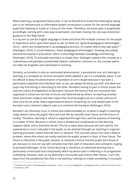When planning a progressive lesson plan, it can be beneficial to know that listening by taking part in an interpersonal or information-based conversation is easier for the second language pupil than listening to a joke or a story on the news. Therefore, my lesson plan is progressed accordingly, starting with a two-way conversation, and later moving into one-way directional guidance in the 'Map Game'.

It is my aim to use the English language to show and share the multiple contexts for the pupils to experience and to give them space to ask, as these are "general pedagogical technologies forms - which are fundamental in all pedagogical practice, no matter where they take place" <sup>2</sup> (Oettingen, 2016). In school didactics, these pedagogical technologies; 'showing and asking' become the teacher's articulation, which is the bridge between knowledge and learning (Oettingen, 2016). To articulate teaching is to shape time. Oettingen explains this concept as a rudimentary and perhaps a predictable didactic realization, and even so, the concept seems too often be forgotten and overlooked in teaching.

Similarly, as boredom is also an overlooked phenomenon, a paradoxical one, as it belongs in teaching, it is accepted as common boredom Ziehe labeled it, yet it is completely taboo. It can be difficult to keep the phenomenon of boredom at arm's length because it has both a particularly subjective and individual side, as you are always bored by yourself, and what one pupil may find boring is interesting to the other. Boredom having its part in school shows the coercive culture [tvangskultur] of education, because the lessons that are structured and organized in school are not free of choice and determined by others. As teaching involves these prechosen subjects and their topics that must be taught just as a certain amount of time must be set aside, these organizational factors of teaching can only explain part of the boredom and a teacher's didactic task is to minimize the boredom (Oettingen, 2016).

Boredom can obviously occur in school and understandably so, as what is taught in teaching today doesn't serve the pupils' 'here and now'-life but benefits their future and the future of society. Therefore, learning in school is organized through time, and the question of learning is a matter of time. Because in school, time is divided and compressed so that learning happens faster and is therefore forced. This force takes place because we can't wait for the experiences to occur naturally in the pupils, so we attempt through our teaching to organize learning processes, where they will learn in advance. This coerced culture can raise a didactic problem, where the school can easily overlook the pupils' present in favor of their future. The future is influential in the pupils' present, to interpret a future that the pupils don't know of yet, because no one can say with certainty how their path of education and cultivation is going to proceed (Oettingen, 2016). School learning is, therefore, an advanced learning that is particularly constructed and compressed, which my lesson plan is reflecting in its progressive scaffolding. However, even as my planning is structured upon theory after theory, I can't shy away from the paradoxical fact that in my teaching I attempt to create something in my pupils

 $^2$  Translated from Danish: "almenpædagogiske teknologier – former – som er grundlæggende i al pædagogisk praksis, uanset hvor de finder sted" s. 116 (Oettingen, 2016).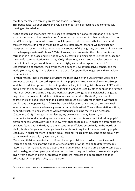that they themselves can only create and that is – learning. This pedagogical paradox shows the value and importance of teaching and continuously passing on knowledge.

As the sources of knowledge that are used to interpret parts of a conversation are our own experiences or what has been learned from others' experiences. In other words, our "in-thehead" knowledge is what allows us to hook keywords onto the words that we hear, and through this, we can predict meaning as we are listening. As listeners, we construct our interpretation of what we hear using not only sounds of the language, but also our knowledge of the language system (Gibbons, 2014). However, one can master the rules of sentence formation in a language and still not be very successful at being able to use the language for meaningful communication (Richards, 2006). Therefore, it is essential that lesson plans are made to teach subjects and themes that are highly cultured to expand the pupils' understanding of contexts, thus giving them a deeper view of themselves, others, and the world (Fredens, 2018). These elements are crucial for optimal language use and exemplary communication.

For that reason, I have chosen to structure the tasks given by the use of group work, as an attempt to create this coerced expansion in my pupils' contextual cultural learning. Group work has in addition proven to be an important activity in the linguistic theories of CLT, as it is argued that the pupils will learn from hearing the language used by other pupils in their group (Richards, 2006). By adding the group work as support alongside the individual 's language acquisition, I also allow for differentiation to occur as needed. This is Meyer's seventh characteristic of good teaching that a lesson plan must be structured in such a way that all pupils have the opportunity to follow the plan, whilst being challenged at their own level, whether or not they're academically weak or particularly skilled. Thus, differentiation in time, support, structure, and content as well as varied use of aiding materials is necessary (Oettingen, 2018). Throughout the classes, my own observations, listening, and communicative understanding are necessary to lead me to discover each individual pupils' different needs, which allows me to know what changes to make, in order to differentiate the activities fitting each individual, so the lessons are scaffolded accordingly. In the words of Klafki, this is a far greater challenge than it sounds, as it requires for me to treat my pupils unequally in order for them to obtain equal learning: "All children have the same equal right to be treated unequally"<sup>3</sup> (Oettingen, 2016).

Moreover, Klafki has created sixth differentiation possibilities, in order to provide equal learning opportunities for the pupils. A few examples of what I can do to differentiate my lesson plan for my pupils are to adjust the amount of substance and time given to complete a task, the degree of complexity, evaluate the number of required reviews, how much help is given from a teacher, distinguish between different interests and approaches and take advantage of the pupils' ability to cooperate.

<sup>3</sup> Translated from Danish: "Alle børn har den samme lige ret til at blive behandlet ulige." s.132 (Oettingen, 2016).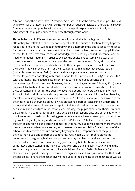After observing the class of five  $6<sup>th</sup>$  graders, I've assessed that the differentiation possibilities I will rely on for this lesson plan, will be the number of required reviews of the tasks, help given from me the teacher, possibly with simpler, more explicit explanations and finally, taking advantage of the pupils' ability to cooperate through group work.

Through the use of differentiating and especially, specifically through group work, I'm attempting to scaffold the phenomenon 'respect' onto the pupil's cultivation. It's my hope that respect for one another will appear naturally in the classroom if the pupils sense my respect for them and their individual needs. With that, I also have my heart set on each pupil, finding respect for themselves through the acknowledgment of possibly needed differentiation. The need for unequal treatment in order to achieve the equivalent outcome will occur as a constant in front of their eyes in society for the rest of their lives and it's my aim that this respect will also open their minds in terms of other people's opinions that will differ from their own. This will prepare them for their (co)existence in a democratic society (Stk. 3, (Undervisningsministeriet, 2021)), because alive is a place where the mind is open with respect for other's views along with consideration for the interest of the unity<sup>4</sup> (Hansen, 2005). With this intent, I have added a list of sentences to help the pupils advance their understanding of what they hear, however, the list of helping sentences Gibbons, 2014) is not only available to them to receive clarification in their communication. I have chosen to add these sentences in order for the pupils to have the opportunity to practice asking for help. Asking for help is difficult, as it also requires us to admit that we need it in the first place. It's, therefore, necessary to practice as part of the pupils' cultivation as we must acknowledge that the inability to do everything on our own, is an essential part of (co)existing in a democratic society. With the same cultivation concept in mind, I've also added democratic voting as the decision-making structure in the lesson plan. This way, the pupils experience their individual part and say in a community decision and get a sense of responsibility and yet the autonomy that it requires to coexist, whilst taking part. It's my aim to achieve a lesson plan that exhibits my 'awakening, enlightening and educational work' (Hansen, 2005) as a teacher, where through asking for help and offering democratic voting, my pupils will become more aware of their existence in a democratic society and the essential responsibility. The education of the school aims to achieve a mature authority [myndighed] and responsibility of the pupils, for them as individuals and as part of a community (Oettingen, 2016). Fredens states the importance of integrating both culture and community into lessons and learning in school. Both in order to create and maintain the joy of learning, but also because in a more compressed understanding the individual pupil will end up taking part in society and in the end is actually what constitutes our political decisions (Fredens, 2018). As Meyer's fifth characteristic of good teaching, it describes the significance in having a lesson plan that holds the possibility to have the teacher involve the pupils in the planning of the teaching as well as

<sup>&</sup>lt;sup>4</sup> Translated from Danish: "der, hvor sindet er åbent og respekten for andres synspunkter og hensynet til helhedens interesse er levende" Hal Koch (s. 135 i (Hansen, 2005)).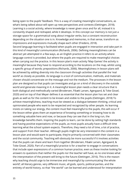being open to the pupils' feedback. This is a way of creating meaningful conversations, as what's being talked about will open up new perspectives and contexts (Oettingen, 2018). Learning is a social activity, where knowledge is never given once and for all, instead it is constantly shaped and reshaped, while it develops. In this concept our memory is not just a storage space for a grammatical song about irregular verbs, but a constant reconstruction depending on the situation one is in. Knowledge and memories, in that sense, transform as impressions and expressions mutually shape each other (Fredens, 2018).

Second language learning is facilitated when pupils are engaged in interaction and take part in this kind of meaningful communication (Richards, 2006). Defining meaningfulness can be abstract yet attempted in a few ways, as an English practice it refers to an activity where language control is provided, but where the pupils are required to make meaningful choices when carrying out the practice. In this lesson plan's main activity 'Map Games' the activity is meaningful because they have to respond according to the locations on the map, whilst using a specific group of words; prepositions (Richards, 2006). Meaningfulness in lesson plans will be achieved by adding diversity into the classroom through activities that parallel the 'real world' as closely as possible. As language is a tool of communication, methods, and materials chosen should concentrate on the message and not the medium. The processes in the lesson plan are designed so that pupils can investigate and go on a kind of discovery in the outside world and generate meaning in it. A meaningful lesson plan needs a clear structure that is both dialogical and methodically varied (Brodersen, Fibæk Larsen, Agergaard, & Toke Gissel, 2020) and on top of that Meyer defines it as essential that the lesson plan has set and clear goals as well as for the content to be known and visible to the pupils (Oettingen, 2018) To achieve meaningfulness, teaching must be viewed as a dialogue between thinking, critical and opinionated people who want to be respected and recognized by other people. As learning insists on taking our energy, the content must feel meaningful to the pupils, this will occur if the lesson either gives them an experience of knowing something or knowing how to do something valuable here and now, or because they can see that in the long run, the knowledge benefits them. Inspiring the pupils to learn, can be done by setting high standards and having positive expectations of the pupils, as most pupils actually have a difficult time learning what the school system expects. Therefore, they need a lot of time, a lot of practice, and support from their teacher. Although pupils might be very interested in the content in a lesson plan and would want to participate, they're primarily concerned with their classmates and the social community. Teaching will obviously be more successful if it involves activities that the pupils can share and learn from together (Brodersen, Fibæk Larsen, Agergaard, & Toke Gissel, 2020). Part of a meaningful practice is for a teacher to engage in conversations that include open expressions of a common human practice, even as these involve looking for answers to questions that neither the pupils nor the teacher will have, as no one knows what the interpretation of the present will bring to the future (Oettingen, 2016). This is the reason why teaching should urge to be immersive and meaningful by communicating 'the whole world'; all literary genres, very different music, all gods, sports, political parties, and the entirety of world history, so that "the world" can be learned and understood for interpretation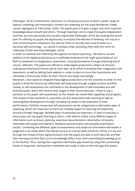(Oettingen, 2016). Furthermore, immersion is a necessary process in which a wider range of aspects, meanings and meaningful contexts are underway for the pupil (Brodersen, Fibæk Larsen, Agergaard, & Toke Gissel, 2020). The pupil's goal is to gain a larger and more nuanced knowledge about oneself and others. Through teaching I aim to make the pupils independent and free, but also personally and socially responsible (Oettingen, 2016). By creating this lesson plan I'm offering my pupils the opportunity to practice the element of listening, not only as a vital communicative component, but also for them to actually learn how to listen as a personal self-technology – as named in antique times, providing them with the room for reflexivity of their learning (Oettingen, 2016).

In order to maintain the reflectivity throughout the lesson planning, I decided to use the addition of the digital productions as a scaffolded embrace of the 'eight good habits of art'. With an emphasis on imagination, expression, crossing boundaries through exploring and of course, reflection. The pupils are offered to make digital productions, where all decisionmaking and directional choices will be their own, as an effort to embody their imagination and expression, as well as letting them explore in order to dare to cross their boundaries and ultimately continuously reflect on their choices and adapt accordingly.

Moreover, I also opted to integrate these digital productions into the activities in order for the pupils to finish the lessons by reflectively self-assessing through a digital product portfolio review, as self-assessment can contribute to the development of self-motivated and selfdirected pupils, which will show at later stages in their future learning. I chose to use a portfolio as the pupils' self-assessment, as the review can reveal their capability and progress. The review of their products in a portfolio can link assessment with teaching as well as metacognitive development through including my pupils in the evaluation of their performance. Portfolio review and self-assessment can be categorized as alternative ways of assessing, which are important as there are multiple aspects to learning and especially around a foreign language. Multiple ways of assessing are important, if I wish to evaluate a lesson plan and my pupils' learning in return, I will need to collect many different types of information such as lesson planning, execution documentation, observation of lessons, interviews with pupils and teachers, feedback questionnaires and possibly examination results. Combining the different types of assessments and empirical information will enable a judgment to be made about the overall success of a lesson plan (Cameron, 2010). It is my aim through the review of their digital products that the pupils are able to both describe and feel their learning and that their current knowledge differs from their preexisting knowledge prior to the lessons. Thus, having their cognitive information gap closed by using their preexisting hooks to hang onto, leaving them motivated and ready to take on the next gap that awaits.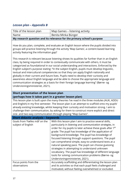## *Lesson plan – Appendix B*

| Title of the lesson plan                                                                                                                                                                                                                                                                                                                                                                                                                                                                                   | Map Games - listening activity                                                                                                                                                                                                                                                                                                                                                                                                                                                                                                                                                                                                                                                                                                                      |  |  |
|------------------------------------------------------------------------------------------------------------------------------------------------------------------------------------------------------------------------------------------------------------------------------------------------------------------------------------------------------------------------------------------------------------------------------------------------------------------------------------------------------------|-----------------------------------------------------------------------------------------------------------------------------------------------------------------------------------------------------------------------------------------------------------------------------------------------------------------------------------------------------------------------------------------------------------------------------------------------------------------------------------------------------------------------------------------------------------------------------------------------------------------------------------------------------------------------------------------------------------------------------------------------------|--|--|
| Name                                                                                                                                                                                                                                                                                                                                                                                                                                                                                                       | Benita Minka Bünger                                                                                                                                                                                                                                                                                                                                                                                                                                                                                                                                                                                                                                                                                                                                 |  |  |
| My research question and its relevance for the primary school's purpose                                                                                                                                                                                                                                                                                                                                                                                                                                    |                                                                                                                                                                                                                                                                                                                                                                                                                                                                                                                                                                                                                                                                                                                                                     |  |  |
| How do you plan, complete, and evaluate an English lesson where the pupils divided into<br>groups will practice listening through the activity 'Map Games', a content-based learning<br>activity featuring the information gap?                                                                                                                                                                                                                                                                            |                                                                                                                                                                                                                                                                                                                                                                                                                                                                                                                                                                                                                                                                                                                                                     |  |  |
| Undervisningsministeriet, 2021).                                                                                                                                                                                                                                                                                                                                                                                                                                                                           | This research is relevant because listening shows its qualities far further than in an English<br>class, by being required in order to contextually communicate with others, it must be<br>categorized as foundational in our social understanding and interactions. Enforced by the<br>English subject's purpose stating: "In the subject English, pupils must develop linguistic,<br>textual and intercultural competencies so that they can apply English nationally and<br>globally in their current and future lives. Pupils need to develop their curiosity and<br>awareness about English language and be able to choose the appropriate language and<br>communication strategies as a basis for their foreign language learning" (Børne- og |  |  |
| Short presentation of the lesson plan                                                                                                                                                                                                                                                                                                                                                                                                                                                                      |                                                                                                                                                                                                                                                                                                                                                                                                                                                                                                                                                                                                                                                                                                                                                     |  |  |
| (perhaps how it takes part in a greater lesson plan)<br>This lesson plan is built upon the many theories I've read in the three modules (AUK, ADDU<br>and English) in my first semester. The lesson plan is an attempt to scaffold onto my pupils'<br>already existing knowledge, whilst keeping their curiosity and motivation strong. I aim to<br>challenge their communication, by asking for them to construct more explicit and direct<br>one- and two-way communication through playing "Map Games". |                                                                                                                                                                                                                                                                                                                                                                                                                                                                                                                                                                                                                                                                                                                                                     |  |  |
| <b>Short didactic analysis - keywords</b>                                                                                                                                                                                                                                                                                                                                                                                                                                                                  |                                                                                                                                                                                                                                                                                                                                                                                                                                                                                                                                                                                                                                                                                                                                                     |  |  |
| Goals from 'Fælles mål' on the<br>subject of English                                                                                                                                                                                                                                                                                                                                                                                                                                                       | With this lesson plan I aim to practice several skills,<br>particularly in listening and communication strategies, in<br>order for my pupils to later achieve these goals after 7 <sup>th</sup><br>grade: The pupil has knowledge of the application of<br>background knowledge. The pupil has knowledge of<br>focused listening through support questions. The pupil<br>can comprehend simple, easy-to-understand texts at a<br>natural speaking pace. The pupil can choose guessing<br>strategies in attempting to understand unknown<br>vocabulary. The pupil has knowledge of different language<br>tools for solving communication problems (Børne- og<br>Undervisningsministeriet, 2021).                                                     |  |  |
| Focus points from the<br>observations                                                                                                                                                                                                                                                                                                                                                                                                                                                                      | Accurately scaffolding and differentiating the lesson plan<br>and its activities so that each pupil feels challenged and<br>motivated, without feeling overwhelmed or excluded.                                                                                                                                                                                                                                                                                                                                                                                                                                                                                                                                                                     |  |  |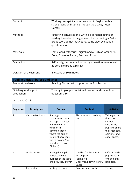| Content                                    | Working on explicit communication in English with a<br>strong focus on listening through the activity "Map<br>Games".                                                                           |
|--------------------------------------------|-------------------------------------------------------------------------------------------------------------------------------------------------------------------------------------------------|
| Methods                                    | Reflecting conversations, writing a personal definition,<br>reading the rules of the game out loud, creating a Padlet<br>production, democratic voting, game play, evaluation<br>questionnaire. |
| <b>Materials</b>                           | Texts, word categories, digital media such as Jamboard,<br>Docs, Powtoon, Padlet, Prezi and Pixton.                                                                                             |
| Evaluation                                 | Self- and group evaluation through questionnaire as well<br>as portfolio product review.                                                                                                        |
| Duration of the lessons                    | 4 lessons of 30 minutes.                                                                                                                                                                        |
| <b>Pupil activities - before and after</b> |                                                                                                                                                                                                 |
| Preparational work                         | Reading Pixton cartoon prior to the first lesson                                                                                                                                                |
| Finishing work - post<br>production        | Turning in group or individual product and evaluation<br>questionnaire.                                                                                                                         |

## Lesson 1: 30 min

| Sequence       | <b>Description</b> | <b>Purpose</b>                                                                                                                                                                                                | <b>Content</b>                                                                               | <b>Activity</b>                                                                                                                |
|----------------|--------------------|---------------------------------------------------------------------------------------------------------------------------------------------------------------------------------------------------------------|----------------------------------------------------------------------------------------------|--------------------------------------------------------------------------------------------------------------------------------|
|                | Cartoon feedback   | Starting a<br>conversation based<br>on maps as an item<br>and listening a<br>function in<br>communication,<br>where the pupils'<br>existing knowledge<br>will be evoked (pre-<br>knowledge hook,<br>Gibbons). | Pixton cartoon made by<br>me.                                                                | Talking about<br>the Pixton<br>cartoon,<br>inviting the<br>pupils to share<br>their feedback,<br>opinions, and<br>experiences. |
| $\overline{2}$ | Goals review       | Having the pupil<br>understand the<br>purpose of the tasks<br>and activities. (Meyer).                                                                                                                        | Goal list for the entire<br>lesson plan<br>(Børne- og<br>Undervisningsministeriet,<br>2021). | Offering each<br>pupil to read<br>one goal out<br>loud each.                                                                   |
| 3              | Preposition        | Inviting the pupils to                                                                                                                                                                                        | Colorful poster with                                                                         | Through                                                                                                                        |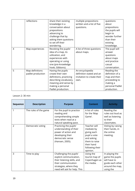|   | reflections       | share their existing    | multiple prepositions      | questions       |
|---|-------------------|-------------------------|----------------------------|-----------------|
|   |                   | knowledge in a          | written and a list of five | about           |
|   |                   | conversation about      | questions.                 | prepositions    |
|   |                   | prepositions            |                            | the pupils will |
|   |                   | advancing to            |                            | begin to        |
|   |                   | challenge that by       |                            | wonder further  |
|   |                   | asking them questions   |                            | than their      |
|   |                   | to set off their        |                            | existing        |
|   |                   | wondering.              |                            | knowledge.      |
| 4 | Map experiences   | Revoking the pupils'    | A list of three questions  | The pupil will  |
|   |                   | idea of a map, its      | about maps.                | answer          |
|   |                   | utilization, and        |                            | questions       |
|   |                   | experiences with        |                            | about maps      |
|   |                   | operating or using      |                            | and practice    |
|   |                   | one (pre-knowledge      |                            | casual          |
|   |                   | hook, Gibbons).         |                            | conversation.   |
| 5 | Map definitions   | Having the pupils       | An encyclopedia            | Reading the     |
|   | padlet production | create their own        | definition stated and an   | definition of a |
|   |                   | definitions, practicing | invitation to create their | map and then    |
|   |                   | describing vocabulary,  | own.                       | proceeding to   |
|   |                   | meaning and sense by    |                            | making a        |
|   |                   | making a personal       |                            | personal Padlet |
|   |                   | Padlet production.      |                            | production.     |

#### Lesson 2: 30 min

| Sequence       | <b>Description</b>    | <b>Purpose</b>                                                                                                                                                     | <b>Content</b>                                                                                                                        | <b>Activity</b>                                                                                       |
|----------------|-----------------------|--------------------------------------------------------------------------------------------------------------------------------------------------------------------|---------------------------------------------------------------------------------------------------------------------------------------|-------------------------------------------------------------------------------------------------------|
| 1              | The rules of the game | For the pupil to practice<br>reading and<br>comprehending simple<br>texts when read at a<br>natural speaking pace.                                                 | A list of rules<br>for the 'Map<br>Game'.                                                                                             | Reading the<br>rules out loud as<br>well as listening<br>to their<br>classmates.                      |
| $\overline{2}$ | Democratic voting     | Practicing the pupils'<br>understanding of their<br>power of action and<br>developing their<br>democratic sense<br>(Hansen, 2005).                                 | Teacher will<br>mediate by<br>giving each<br>pupil a vote<br>and asking<br>them to raise<br>their hand<br>following their<br>opinion. | Voting by raising<br>their hands, in<br>the online<br>meeting.                                        |
| 3              | Time to play          | Challenging the pupils'<br>explicit communication,<br>their listening skills, and<br>their communication<br>strategies, where they<br>need will ask for help. This | Using the<br>tourist map of<br>Copenhagen as<br>the media.                                                                            | In playing the<br>game the pupils<br>will have to<br>guide each other<br>around the map,<br>using the |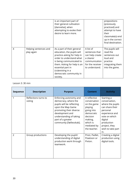|   |                                     | is an important part of<br>their general cultivation<br>[dannelse], when<br>attempting to evoke their<br>desire to learn more.                                                                                                                                   |                                                                                                                    | prepositions<br>(previously<br>practiced) and<br>attempt to have<br>their<br>classmate(s) end<br>up in the correct<br>final destination. |
|---|-------------------------------------|------------------------------------------------------------------------------------------------------------------------------------------------------------------------------------------------------------------------------------------------------------------|--------------------------------------------------------------------------------------------------------------------|------------------------------------------------------------------------------------------------------------------------------------------|
| 4 | Helping sentences and<br>play again | As a part of their general<br>education, the pupils will<br>practice asking for help in<br>order to understand what<br>is being communicated to<br>them. Asking for help is an<br>essential part in<br>(co) existing in a<br>democratic community in<br>society. | A list of<br>sentences that<br>can help create<br>a clearer<br>communication<br>for the receiver<br>to understand. | The pupils will<br>read the<br>sentences out<br>loud and<br>practice<br>integrating them<br>into the game.                               |

#### Lesson 3: 30 min

| Sequence       | <b>Description</b>             | <b>Purpose</b>                                                                                                                                                                                                            | <b>Content</b>                                                                                                                                       | <b>Activity</b>                                                                                                                                                                         |
|----------------|--------------------------------|---------------------------------------------------------------------------------------------------------------------------------------------------------------------------------------------------------------------------|------------------------------------------------------------------------------------------------------------------------------------------------------|-----------------------------------------------------------------------------------------------------------------------------------------------------------------------------------------|
| 1              | Reflections turns to<br>voting | Enforcing autonomy and<br>democracy, where the<br>pupils will be reflecting<br>upon the Map Game<br>promoting their diverse<br>development and<br>understanding of taking<br>part of a greater<br>community [fællesskab]. | A reflective<br>conversation<br>on the game<br>playing<br>going into<br>democratic<br>decision<br>making,<br>which is<br>mediated by<br>the teacher. | Starting a<br>conversation,<br>where the pupils<br>can share their<br>personal<br>experience and<br>vote on which<br>digital<br>production<br>project, they<br>wish to take part<br>in. |
| $\overline{2}$ | Group productions              | Developing the pupils'<br>understanding of digital<br>production work through<br>teamwork.                                                                                                                                | Prezi, Padlet,<br>Powtoon or<br>Pixton.                                                                                                              | Creating a digital<br>production using<br>digital tools.                                                                                                                                |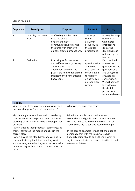Lesson 4: 30 min

| <b>Sequence</b> | <b>Description</b>           | <b>Purpose</b>                                                                                                                                                                            | <b>Content</b>                                                                                                                     | <b>Activity</b>                                                                                                                                                                                                |
|-----------------|------------------------------|-------------------------------------------------------------------------------------------------------------------------------------------------------------------------------------------|------------------------------------------------------------------------------------------------------------------------------------|----------------------------------------------------------------------------------------------------------------------------------------------------------------------------------------------------------------|
| 1               | Let's play the game<br>again | Scaffolding another layer<br>onto the pupils'<br>understanding of<br>communication by playing<br>the game with their own<br>digitally created productions.                                | The 'Map<br>Games'<br>activity in<br>groups with<br>the digital<br>productions.                                                    | Playing the 'Map<br>Game' again<br>with digital<br>productions<br>displaying<br>directions read<br>out loud by the<br>teacher.                                                                                 |
| $\overline{2}$  | Evaluation                   | Practicing self-observation<br>and self-evaluation, creating<br>an awareness and<br>attachment between the<br>pupils' pre-knowledge on the<br>subject to their now existing<br>knowledge. | A<br>questionnaire<br>as the basis<br>of a reflective<br>conversation<br>to finish off<br>on as well as<br>a production<br>review. | Each pupil will<br>answer the<br>questions on the<br>questionnaire<br>and using their<br>answers in a<br>conversation.<br>We will perhaps<br>take a look at<br>the digital<br>productions<br>from the classes. |

| <b>Possibly</b>                                   |                                                   |
|---------------------------------------------------|---------------------------------------------------|
| Where is your lesson planning most vulnerable     | What can you do in that case?                     |
| due to a change of (unseen) circumstance?         |                                                   |
|                                                   |                                                   |
| My planning is most vulnerable in considering     | I the first example I would ask them to           |
| that this entire lesson plan is based on online   | screenshare and guide them through where to       |
| teaching, so I can physically help my pupils; for | click and how to attain what they wish for, or I  |
| example:                                          | would share my screen and 'lead by example'.      |
| - when creating their products, I can only guide  |                                                   |
| them, I can't grab the mouse and click in the     | In the second example I would ask the pupil to    |
| correct place.                                    | personally chat with me in a private chat,        |
| - when playing the Map Game, one wishing to       | hopefully being able to guide them in what to     |
| communicate a guided direction, they can't        | say to communicate the correct direction to their |
| whisper in my ear what they wish to say or what   | receiver or listener.                             |
| outcome they wish for their communication to      |                                                   |
| have.                                             |                                                   |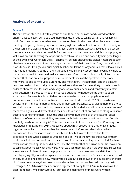## **Analysis of execution**

#### *Lesson 1:*

The first lesson started out with a group of pupils both enthusiastic and excited for their English class to begin, perhaps a tad more than usual, due to taking part in this research. I could feel their curiosity for what was in store for them. As the class takes place in an online meeting, I began by sharing my screen, on a google site, where I had prepared the entirety of the lesson plan's tasks and activities. As Meyer's guiding characteristics advises, I had set up the site as clean and clear as possible for the content to be known and visible to my pupils, as well as all my pupils having the opportunity to follow the plan and hopefully being challenged at their own level (Oettingen, 2018). I shared my screen, showing the digital Pixton production I had made in advance. I didn't have any expectations of their reactions. They mostly thought it was funny, in like a geeked-out English teacher adult kind of way and said that it looked like I had had fun making it. Some of them thought it was 'insanely cooool' that I even knew how to make it and asked if they could make a cartoon too. One of the pupils actually picked up on the fact that I had snuck in prepositions into the sentences of the speakers in the story. Afterward, to add to my pupils' autonomy and motivation, I invited them, one at a time, to read one goal out loud to align their expectations with mine for the entirety of the lessons. In order to show respect for each and every one of my pupils' needs and constantly maintain their autonomy, I chose to invite them to read out loud, without ordering them to as an expectation. Because I've found Ushioda's theory to be correct that pupils who feel autonomous are in fact more motivated to make an effort (Ushioda, 2012), even when an activity might intimidate them and be out of their comfort zone. So, by giving them the choice and inviting them to read out loud, I've made the decision theirs, and in this case, every one of them read a goal aloud. Presented as their first task was a list of prepositions along with some questions concerning them. I gave the pupils a few minutes to look at the list and I asked: What kind of words are these? They answered with their own explanations such as: "Words that tell you where something is". This was the moment I found their first 'hook' to hang more knowledge onto (Gibbons, 2014). We talked about which prepositions they knew already, together we looked up the ones they had never heard before, we talked about which prepositions they most often use in Danish, and finally, I invited them to find three prepositions and write a sentence with each one in. Two of them wrote three, two of them could only find two prepositions to use and one didn't write any. I kept this in mind, for later tasks involving writing, so I could differentiate the task for that particular pupil. We moved on to talking about maps; what they were, what we used them for, and if we even felt like we had a keen sense of place. I invited the pupils to write down their own personal definition of a map, by saying: "If you had to explain what a map is, to someone who's never seen one, heard of one, or used one before, how would you explain it?". I asked two of the pupils (the one that didn't want to write anything previously and one that had no problems with writing tasks (Oettingen, 2016)) to write their definition together, allowing them 4-5 minutes to leave the classroom meet, while they wrote it. Four personal definitions of maps were written.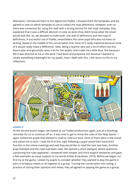Afterward, I introduced them to the digital tool Padlet. I showed them the templates and we agreed to vote on which template to use to collect the map definitions. However, even as there was consensus for using the 'wall' with a strong second for the 'map' template, they explained that it was a difficult decision to vote on when they didn't know what the result would look like. So, we decided to make both; one wall of definitions and one map of definitions. A successful use of Padlet, nevertheless the same pupil who was not keen on writing, stated in the middle of the conversation that 'none of it really mattered because none of it would really make a difference'. Now, being a teacher who put a lot of effort into this lesson plan and genuinely cares a lot for her pupils, that made me a little blue. Not because I felt it was directed at me or the work I had done and prepared, but because I wanted to create something meaningful for my pupils. How I dealt with this, I will return to this in my reflections.



#### *Lesson 2:*

As the second lesson began, we looked at our Padlet productions again, just as a (hooking) reminder for us to continue off on. It was time to get to know the rules of the 'Map Game'. I again invited the pupils that wanted to read to read out loud, none of them were in the mood and asked me to start. I read the first line, right following a pupil raised their hand (click function in the online meeting) and said they would like to read the next two lines. Another pupil followed and the rules had been read. We opened a short dialogue, where questions concerning the rules appeared. I answered with simpler and more explicit sentences and gave a few examples as visual support to my words (Olsen & Jacobsen, 2019). Before we began our first try at the game, I asked my pupils to consider whether they wanted to play the game in pairs in breakout meets or all together in a group. Turning the conversation into voting, a practice of voicing their opinions and needs, they all agreed on playing the game as a group.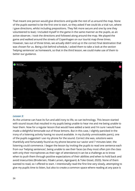That meant one person would give directions and guide the rest of us around the map. None of the pupils wanted to be the first one to start, so they asked if we could do a trial run, where I gave directions, whilst including prepositions. They felt more secure and one by one they volunteered to lead, I included myself in the game in the same manner as the pupils, as an active observer, I took the directions and followed along around the map. We played the game and walked around the streets of Copenhagen on our tourist map three times. However, two out of three times, we actually didn't end up in the correct final destination that was chosen for us. Being a bit behind schedule, I asked them to take a look at the section 'helping sentences' as homework, so that in the third lesson, we could make use of them to better our guidance.



#### *Lesson 3:*

As the universe can have its fun and add irony to life, so can technology. This lesson started with sound issues that resulted in my pupils being unable to hear me and me being unable to hear them. Now for a regular lesson that would have added a twist and I'm sure I would have made a delightful lemonade out of those lemons. But in this case, I slightly panicked in the irony of a listening activity having no sound available. In my (luckily unnoticeable panic), one of the pupils suggested I use my phone for the sound. Correct she was, solutions were thankfully and fortunately found as my phone became our savior and 7 minutes later, the listening could commence. I began the lesson by inviting the pupils to read one sentence each from our 'helping sentences', being unable to see their faces (as they most often join the class with only their microphones as their sign of attendance) it can be a challenge as to know when to push them through positive expectations of their abilities and when to hold back and avoid insecurities (Brodersen, Fibæk Larsen, Agergaard, & Toke Gissel, 2020). None of them wanted to read, so I offered to start. I intentionally read the first line very slowly, attempting to give my pupils time to listen, but also to create a common space where reading at any pace is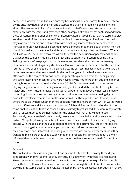accepted. It worked, a pupil hooked onto my bait of inclusion and started to read a sentence. By the end, they had all been given and accepted the chance to read a 'helping sentence' aloud. The sentences kicked off a conversation about clarification, we referred to our past experience with the game and gave each other examples of when we got confused and when these sentences might offer us some clarification (Olsen & Jacobsen, 2019). We started to play another round of the game as one of the pupils volunteered to give directions. I decided to play along but observe and not interfere with a 'helping sentence' from my perspective. Perhaps I should have because it seemed they'd all forgotten to make use of them. When the round finished all of us were in five different locations and the guiding pupil asked: "Where did I lose you?". The pupils answered where they felt their confusion appeared and I added that when the confusion kicks in, it is a great time to ask for clarification by using these 'helping sentences'. We played two more games and suddenly the theories on two-way communication started agreeing (Gibbons, 2014) with our own experiences, for the first time four out of five of us ended up in the same place, the correct final destination as well. As the game went more and more successfully, the pupils engaged in reflective conversations afterward, on the choice of prepositions, the general explanation from the pupil guiding, whilst expressing how much fun they were having. Trying not to tire them out and in fear of having boredom enter our realm (Oettingen, 2016) I felt we were ready to move on from playing the game for now. Opening a new dialogue, I reminded the pupils of the digital tools Padlet and Pixton I used to make the cartoon. I talked to them about the next task ahead of us, writing down ten directions using the preposition as preparation for creating digital products. I explained that in our final lesson I would use these productions to read aloud, where we could witness whether or not, speaking from the heart or from written words would make a difference and if we might be so successful that all five pupils would end up in the same final destination that was chosen. Quite excitedly to get started, they were ready to vote again. I asked them to raise their hands for the digital tool that they wished to use. Fortunately, as any teacher's dream really, two wanted to use Padlet and three wanted to use Pixton. We spoke of taking some time to write down these ten directions prior to playing around with the tools and the pupils opened their shared documents. I quickly noticed the pair working together, started out by picking the prepositions they wanted to incorporate in their directions, and I informed the other group that this was an option for them too if they wanted to make sure they used a wide variation of prepositions. Time was about up when I informed them that homework was to have the ten guidance sentences ready for our final lesson.

#### *Lesson 4:*

The final and fourth lesson began, and I was beyond thrilled to start making these digital productions with my students, as they don't usually get to work with tools like Padlet and Pixton. As soon as they separated into their self-chosen groups it quite quickly became clear to me that we within our final lesson had no way near enough time to finish the products, to play the 'Map Game' again or to evaluate the lesson by having an assessing production review.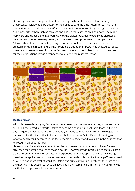Obviously, this was a disappointment, but seeing as this entire lesson plan was very progressive, I felt it would be better for the pupils to take the time necessary to finish the productions which included their effort to communicate more explicitly through writing the directions, rather than rushing through and ending the research on a bad note. The pupils were very enthusiastic and into working with the digital tools, every detail was discussed, personal arguments were expressed, and they would compromise with their partners. Allowing them time, to dive into getting to know the tools, it became clear to me, we had created something meaningful as they could help but do their best. They showed purpose, intent, and meaningfulness in their reflective choices and I could feel how much they cared for their productions. It was a wonderful way to end the research lessons.



## **Reflections**

With this research being my first attempt at a lesson plan let alone an essay, it has astounded, first of all, the incredible efforts it takes to become a capable and valuable teacher. I find it beyond questionable teachers in our country, society, community aren't acknowledged and recognized for this incredible influence they hold in a human's life. Especially seeing as whatever each child becomes will in fact become our society and take part in the changes that will occur in all of our futures.

Listening is an invaluable element of our lives and even with this research I haven't even scratched the surface enough to make a sound. However, it was interesting to see my lesson plan be brought to life and specifically to experience the development of what was being heard as the spoken communication was scaffolded with both clarification help (Olsen) as well as written and more explicit wording. I felt it was quite captivating to witness the truth to all the theories I had chosen to focus on, it was as if they came to life in front of me and showed me their concept, proved their point to me.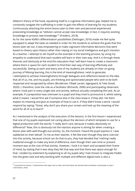Gibbon's theory of the hook, equalizing itself to a cognitive information gap, helped me to constantly navigate the scaffolding in order to gain the effects of learning for my students. Continuously attaching the entire lesson plan to their own and personal experienced preexisting knowledge as "oblivion cannot accept new knowledge; in fact, it requires existing knowledge to process new knowledge."<sup>5</sup> (Fredens, 2018).

As for the same Klafki's differentiation possibilities (Oettingen, 2016) made me feel quite equipped to adapt the tasks as needed in order for the students to achieve the goals that this lesson plan set out. It was empowering to make cognizant informative decisions that were based on theory upon theory rather than relying on my social intelligence and gut's intuition. As a teacher, I attempt to set myself as the example in the teaching process, by using my empathy to understand that each student will learn in their own way. And it is through these theories and obviously at the end this education that I will learn how to create a classroom where there is space for each student to find their own way of learning effectively and successfully. Seeing as each and every one of my students are already on their on-going journey of lifelong learning, this is the kind of meaningfulness I wish to generate. I attempted to achieve meaningfulness through dialogues and reflections based on the idea that all of us, me, and my pupils, are thinking and opinionated people who wish to be both respected and recognized by others (Brodersen, Fibæk Larsen, Agergaard, & Toke Gissel, 2020). I, therefore, took the role as a facilitator (Richards, 2006) and participating observant, where I took part in every single task and activity, without actually completing the task. As an example, if a preposition was unknown to a pupil and they tried to pronounce it, whilst asking what it meant. I would first ask if someone else in the class knew it, if they did, I let them explain its meaning and give an example of how to use it. If they didn't know a word, I would respond by saying: "Great, why don't you share your screen and look up the meaning of the word for all of us to learn!"

As I mentioned in the analysis of the execution of the lessons, in the first lesson I experienced that one of my pupils expressed not caring about the decision of which template to use for a digital production with the words: "I really don't care, because it makes absolutely no difference!" Now, this is obviously not the reaction anyone is aiming for when creating a lesson plan with well-thought-out activity. So, the moment I heard the pupil express it, I was saddened on their behalf. To me as their teacher, it felt like even though they were coerced into this activity, because school can do that to you, they had decided that 'nothing' really mattered enough to make any kind of difference, even though their own time or present moment was at the cost of that activity. However, I took it to heart and accepted their frame of mind, by stating that it was okay they felt that way and that there was space enough for that. I ended my statement by explaining to all my pupils why I had chosen to integrate Padlet into the given task and why working with multiple and different digital tools is also a

<sup>&</sup>lt;sup>5</sup> Translated from Danish: "Uvidenhed kan ikke tage imod ny viden; derimod kræver det eksisterende kundskaber at bearbejde ny viden." s.58 (Fredens, 2018).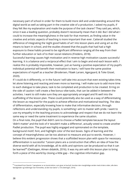necessary part of school in order for them to build more skill and understanding around the digital world as well as taking part in the creative side of a production. I asked my pupils, if they felt like my explanation and made the purpose of the task clearer? They said yes, which, since it was a leading question, probably doesn't necessarily mean that it did. But I did what I could to increase the meaningfulness in the task for that moment, as finding value in the creative and artistic aspects of teaching is more important than ever. Catterall studied the difference of integrating the 'eight good habits of art' into lesson plans and using art as the means to learn in school, and the studies showed that the pupils that had had a high exposure to these habits proved to be significant difference ranging all the way from their further education or lack of to their social relations (Fredens, 2018).

Successful learning causes high motivation and in reverse high motivation causes successful learning. It is a balance and a reciprocal effect that I aim to begin and end each lesson with. I realize this is probably impossible, however, just as having a positive expectation of my pupil's individual potential will benefit their motivation to learn, I will have the same positive expectations of myself as a teacher (Brodersen, Fibæk Larsen, Agergaard, & Toke Gissel, 2020).

If I could do it differently, or in the future I will take into account that even existing takes time, let alone listening and reacting and even more so learning. I will make sure to add more time to each dialogue to take place, task to be completed and production to be created. Erring on the side of caution I will create a few bonus-vibe-tasks, that can be added in between the activities. I want to still make sure they are appropriately arranged and fit well into the scaffolding of the lesson plan. These could potentially also be used as a way of differentiating the lesson as required for the pupils to achieve effective and motivational teaching. The idea of differentiation, especially knowing how to make that informative decision, through reflections and understanding my pupils, is something I aim to master with pride. I want to use my empathy in the teaching process to acknowledge and respect that we do not learn the same way or need the same treatment to experience the same situation.

On a final note, the pupil that didn't care to choose a Padlet template because the layout 'didn't matter' and the look of it 'wouldn't make a difference', actually voted to create another Padlet production. The pupil was highly engaged and opinionated on the template, background motif, font, and highlight color of the text boxes. Signs of learning and the concept of meaningfulness can be too abstract to measure and put to words. However, I believe this evident progression shows that a scaffolded lesson plan with space for necessary differentiation is successful. "Lesson plans are a construction that offers an idea of how the diverse world with all its knowledge, all its skills and opinions can be produced so that it can be learned<sup>"6</sup> (Oettingen, Almen didaktik, 2016). It was my aim with this lesson plan to bring forth a piece of this world by closing a little gap – the cognitive information gap.

<sup>&</sup>lt;sup>6</sup> Translated from Danish: "Læreplaner er en konstruktion, som giver et bud på, hvordan den mangfoldige verden med al dens viden, alle dens færdigheder og holdninger kan fremstilles, så den kan læres" s.135 (Oettingen, 2016).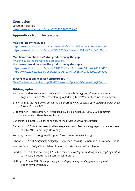## **Conclusion**

Link to my digi-talk: <https://www.studietube.dk/video/7239202/1887089440>

## **Appendices from the lessons**

#### **Map Padlets by the pupils:**

<https://www.studietube.dk/video/7229680/95f97c04cbdabe92548af0a3670a8bd4> <https://www.studietube.dk/video/7229683/958463a0ce81104dd27dcc843d91efea>

**Map Game directions as Pixton production by the pupils:**  Awaiting pupils' approval to add productions **Map Game directions as Padlet production by the pupils:**  <https://www.studietube.dk/video/7238488/bc2aecc8cfea676d54e176d615095192> <https://www.studietube.dk/video/7238490/6427145fbe685162749499c93eccad02>

#### **Screenshots of online lesson structure (PDF):**

[file:///C:/Users/lenovo/Desktop/The%20lesson%20plan%20\(Screenshots\)%20.pdf](file:///C:/Users/lenovo/Desktop/The%20lesson%20plan%20(Screenshots)%20.pdf)

## **Bibliography**

- Børne- og Undervisningsministeriet. (2021). *Danmarks læringsportal*. Hentet fra EMU Faghæfte - Fælles Mål, læseplan og vejledning: https://emu.dk/grundskole/engelsk
- Brinkmann, S. (2017). Dewey om læring og erfaring. *Kvan: et tidsskrift for læreruddannelsen og folkeskolen*, s. 43-53.
- Brodersen, P., Fibæk Larsen, P., Agergaard, K., & Toke Gissel, S. (2020). *God og effektiv undervisning .* Hans Reitzels Forlag.
- Bundsgaard, J. (2017). Digital dannelse. Aarhus: Aarhus Universitetsforlag.
- Cameron, L. (2010). Assesment and language learning. I *Teaching languages to young learners* (s. 214-240). Cambridge University.
- Fredens, K. (2018). Læring med kroppen forrest. Hans Reitzels forlag.
- Gibbons, P. (2014). *Scaffolding Language, Scaffolding Learning.* Heinemann Educational Books.
- Hansen, M. H. (2005). Kilder til demokratiets historie. Museum Tusculanums.
- Lund, K. (2019). Fokus på sprog. I A. S. Gregersen, *Sprogfag i forandring - pædagogik og praksis* (s. 87-127). Forfatterne og Samfundsliteratur .
- Oettingen, A. V. (2010). *Almen pædagogik: pædagogikkens grundlæggende spørgsmål.* København: Gyldendal.